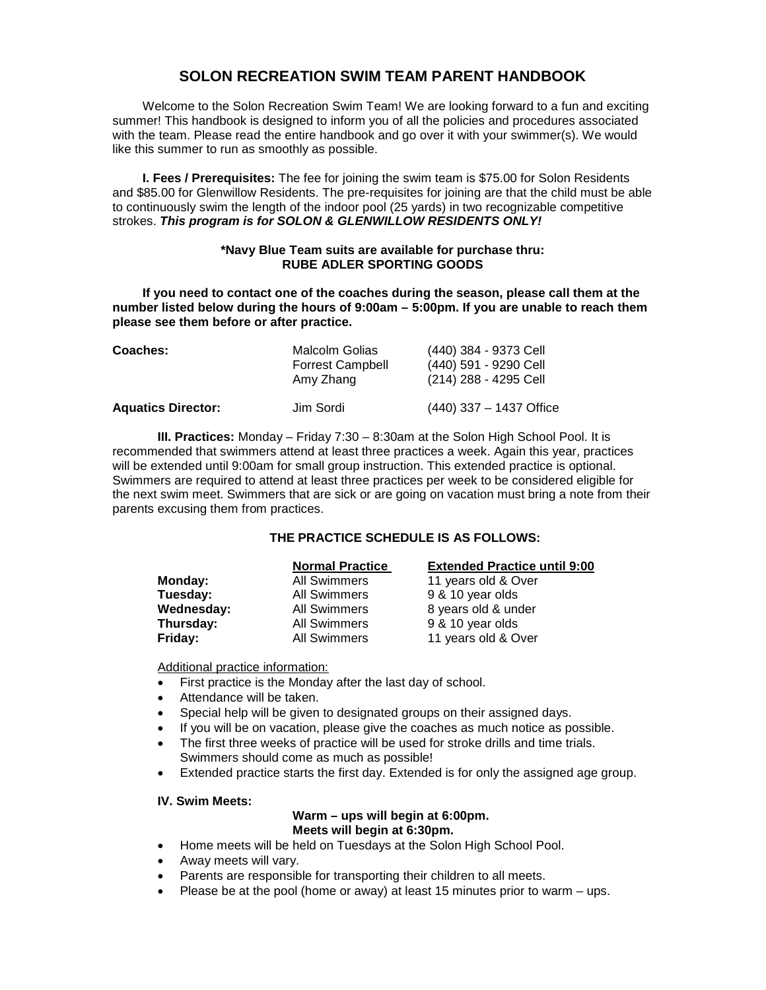# **SOLON RECREATION SWIM TEAM PARENT HANDBOOK**

Welcome to the Solon Recreation Swim Team! We are looking forward to a fun and exciting summer! This handbook is designed to inform you of all the policies and procedures associated with the team. Please read the entire handbook and go over it with your swimmer(s). We would like this summer to run as smoothly as possible.

**I. Fees / Prerequisites:** The fee for joining the swim team is \$75.00 for Solon Residents and \$85.00 for Glenwillow Residents. The pre-requisites for joining are that the child must be able to continuously swim the length of the indoor pool (25 yards) in two recognizable competitive strokes. *This program is for SOLON & GLENWILLOW RESIDENTS ONLY!*

## **\*Navy Blue Team suits are available for purchase thru: RUBE ADLER SPORTING GOODS**

**If you need to contact one of the coaches during the season, please call them at the number listed below during the hours of 9:00am – 5:00pm. If you are unable to reach them please see them before or after practice.** 

| <b>Coaches:</b>           | <b>Malcolm Golias</b><br><b>Forrest Campbell</b><br>Amy Zhang | (440) 384 - 9373 Cell<br>(440) 591 - 9290 Cell<br>(214) 288 - 4295 Cell |
|---------------------------|---------------------------------------------------------------|-------------------------------------------------------------------------|
| <b>Aquatics Director:</b> | Jim Sordi                                                     | $(440)$ 337 - 1437 Office                                               |

**III. Practices:** Monday – Friday 7:30 – 8:30am at the Solon High School Pool. It is recommended that swimmers attend at least three practices a week. Again this year, practices will be extended until 9:00am for small group instruction. This extended practice is optional. Swimmers are required to attend at least three practices per week to be considered eligible for the next swim meet. Swimmers that are sick or are going on vacation must bring a note from their parents excusing them from practices.

## **THE PRACTICE SCHEDULE IS AS FOLLOWS:**

|            | <b>Normal Practice</b> | <b>Extended Practice until 9:00</b> |
|------------|------------------------|-------------------------------------|
| Monday:    | <b>All Swimmers</b>    | 11 years old & Over                 |
| Tuesday:   | <b>All Swimmers</b>    | 9 & 10 year olds                    |
| Wednesday: | <b>All Swimmers</b>    | 8 years old & under                 |
| Thursday:  | <b>All Swimmers</b>    | 9 & 10 year olds                    |
| Friday:    | <b>All Swimmers</b>    | 11 years old & Over                 |

Additional practice information:

- First practice is the Monday after the last day of school.
- Attendance will be taken.
- Special help will be given to designated groups on their assigned days.
- If you will be on vacation, please give the coaches as much notice as possible.
- The first three weeks of practice will be used for stroke drills and time trials. Swimmers should come as much as possible!
- Extended practice starts the first day. Extended is for only the assigned age group.

#### **IV. Swim Meets:**

#### **Warm – ups will begin at 6:00pm. Meets will begin at 6:30pm.**

- Home meets will be held on Tuesdays at the Solon High School Pool.
- Away meets will vary.
- Parents are responsible for transporting their children to all meets.
- Please be at the pool (home or away) at least 15 minutes prior to warm ups.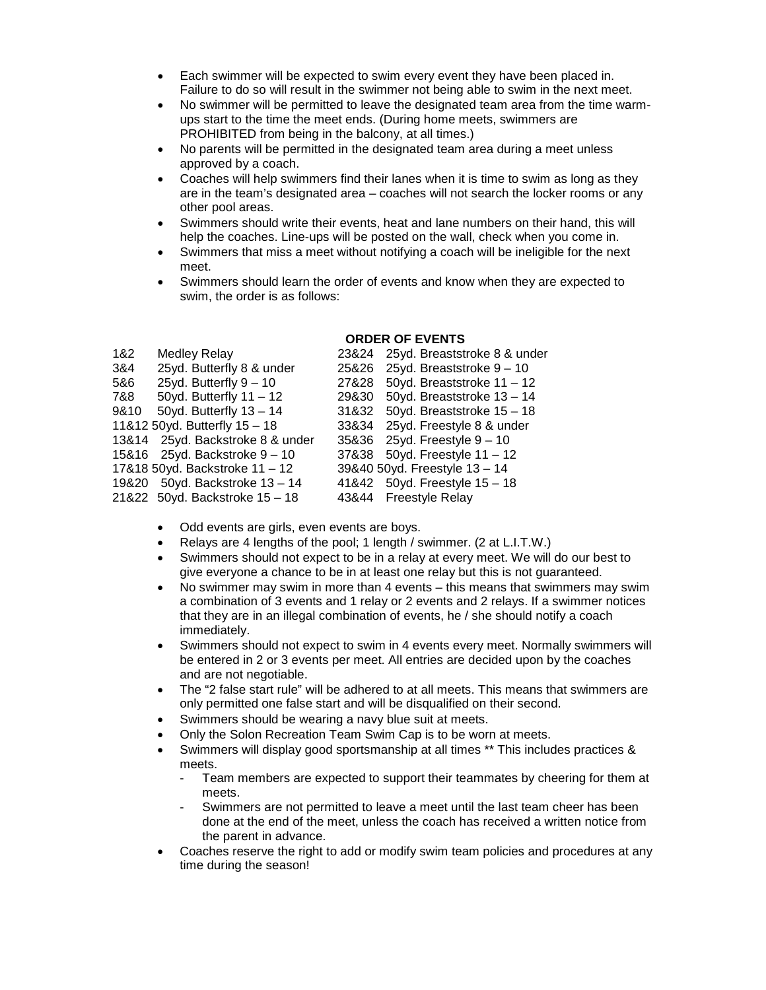- Each swimmer will be expected to swim every event they have been placed in. Failure to do so will result in the swimmer not being able to swim in the next meet.
- No swimmer will be permitted to leave the designated team area from the time warmups start to the time the meet ends. (During home meets, swimmers are PROHIBITED from being in the balcony, at all times.)
- No parents will be permitted in the designated team area during a meet unless approved by a coach.
- Coaches will help swimmers find their lanes when it is time to swim as long as they are in the team's designated area – coaches will not search the locker rooms or any other pool areas.
- Swimmers should write their events, heat and lane numbers on their hand, this will help the coaches. Line-ups will be posted on the wall, check when you come in.
- Swimmers that miss a meet without notifying a coach will be ineligible for the next meet.
- Swimmers should learn the order of events and know when they are expected to swim, the order is as follows:

## **ORDER OF EVENTS**

| <b>Medley Relay</b>       | 23&24                                                                                                                                                                                                    | 25yd. Breaststroke 8 & under  |
|---------------------------|----------------------------------------------------------------------------------------------------------------------------------------------------------------------------------------------------------|-------------------------------|
| 25yd. Butterfly 8 & under | 25&26                                                                                                                                                                                                    | 25yd. Breaststroke $9 - 10$   |
| 25yd. Butterfly $9 - 10$  | 27&28                                                                                                                                                                                                    | 50yd. Breaststroke 11 - 12    |
| 50yd. Butterfly $11 - 12$ | 29&30                                                                                                                                                                                                    | 50yd. Breaststroke 13 - 14    |
| 50yd. Butterfly $13 - 14$ | 31&32                                                                                                                                                                                                    | 50yd. Breaststroke 15 - 18    |
|                           | 33&34                                                                                                                                                                                                    | 25yd. Freestyle 8 & under     |
|                           |                                                                                                                                                                                                          | 35&36 25yd. Freestyle 9 - 10  |
|                           |                                                                                                                                                                                                          | 37&38 50yd. Freestyle 11 - 12 |
|                           |                                                                                                                                                                                                          | 39&40 50yd. Freestyle 13 - 14 |
|                           |                                                                                                                                                                                                          | 41&42 50yd. Freestyle 15 - 18 |
|                           |                                                                                                                                                                                                          | 43&44 Freestyle Relay         |
|                           | 11&12 50yd. Butterfly 15 - 18<br>13&14 25yd. Backstroke 8 & under<br>15&16 25yd. Backstroke 9 - 10<br>17&18 50yd. Backstroke 11 - 12<br>19&20 50yd. Backstroke 13 - 14<br>21&22 50yd. Backstroke 15 - 18 |                               |

- Odd events are girls, even events are boys.
- Relays are 4 lengths of the pool; 1 length / swimmer. (2 at L.I.T.W.)
- Swimmers should not expect to be in a relay at every meet. We will do our best to give everyone a chance to be in at least one relay but this is not guaranteed.
- No swimmer may swim in more than 4 events this means that swimmers may swim a combination of 3 events and 1 relay or 2 events and 2 relays. If a swimmer notices that they are in an illegal combination of events, he / she should notify a coach immediately.
- Swimmers should not expect to swim in 4 events every meet. Normally swimmers will be entered in 2 or 3 events per meet. All entries are decided upon by the coaches and are not negotiable.
- The "2 false start rule" will be adhered to at all meets. This means that swimmers are only permitted one false start and will be disqualified on their second.
- Swimmers should be wearing a navy blue suit at meets.
- Only the Solon Recreation Team Swim Cap is to be worn at meets.
- Swimmers will display good sportsmanship at all times \*\* This includes practices & meets.
	- Team members are expected to support their teammates by cheering for them at meets.
	- Swimmers are not permitted to leave a meet until the last team cheer has been done at the end of the meet, unless the coach has received a written notice from the parent in advance.
- Coaches reserve the right to add or modify swim team policies and procedures at any time during the season!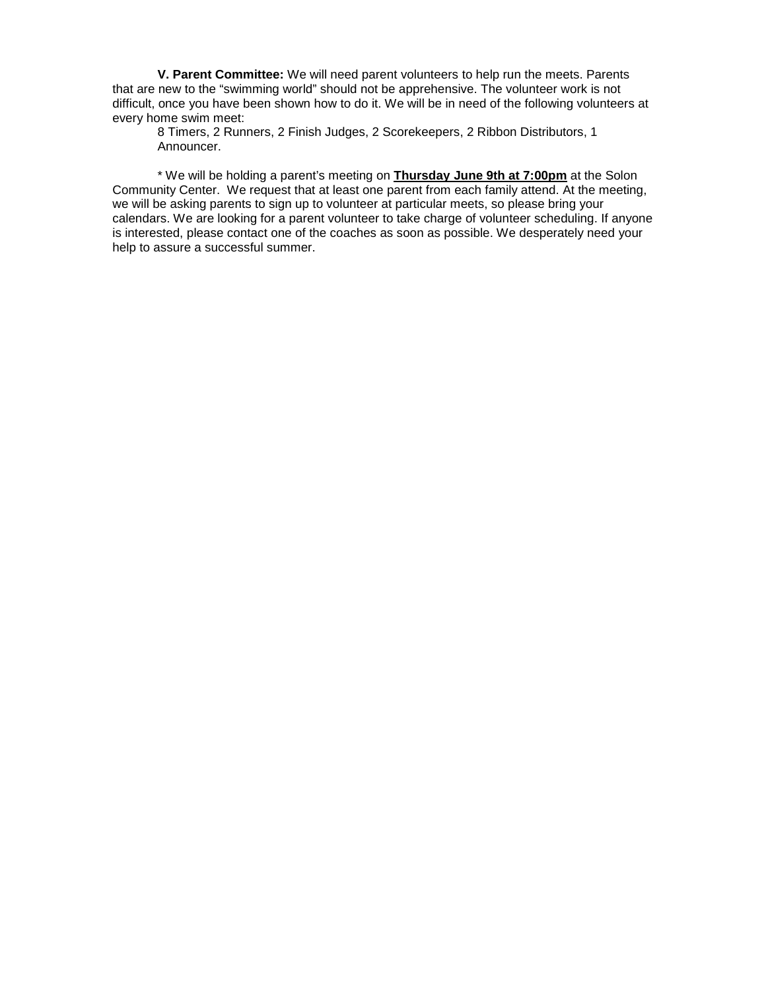**V. Parent Committee:** We will need parent volunteers to help run the meets. Parents that are new to the "swimming world" should not be apprehensive. The volunteer work is not difficult, once you have been shown how to do it. We will be in need of the following volunteers at every home swim meet:

8 Timers, 2 Runners, 2 Finish Judges, 2 Scorekeepers, 2 Ribbon Distributors, 1 Announcer.

\* We will be holding a parent's meeting on **Thursday June 9th at 7:00pm** at the Solon Community Center. We request that at least one parent from each family attend. At the meeting, we will be asking parents to sign up to volunteer at particular meets, so please bring your calendars. We are looking for a parent volunteer to take charge of volunteer scheduling. If anyone is interested, please contact one of the coaches as soon as possible. We desperately need your help to assure a successful summer.